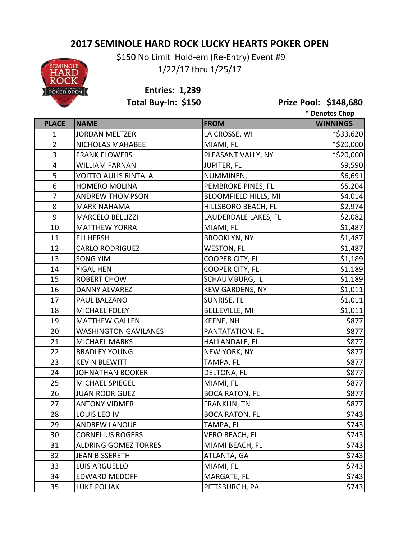## **2017 SEMINOLE HARD ROCK LUCKY HEARTS POKER OPEN**

**SEMINOLE** HARD

 \$150 No Limit Hold-em (Re-Entry) Event #9 1/22/17 thru 1/25/17

**Entries: 1,239**

**Total Buy-In: \$150 Prize Pool: \$148,680**

|                 |                             |                             | * Denotes Chop  |
|-----------------|-----------------------------|-----------------------------|-----------------|
| <b>PLACE</b>    | <b>NAME</b>                 | <b>FROM</b>                 | <b>WINNINGS</b> |
| 1               | <b>JORDAN MELTZER</b>       | LA CROSSE, WI               | *\$33,620       |
| $\overline{2}$  | <b>NICHOLAS MAHABEE</b>     | MIAMI, FL                   | *\$20,000       |
| 3               | <b>FRANK FLOWERS</b>        | PLEASANT VALLY, NY          | *\$20,000       |
| 4               | <b>WILLIAM FARNAN</b>       | JUPITER, FL                 | \$9,590         |
| 5               | <b>VOITTO AULIS RINTALA</b> | NUMMINEN,                   | \$6,691         |
| $6\phantom{1}6$ | <b>HOMERO MOLINA</b>        | PEMBROKE PINES, FL          | \$5,204         |
| $\overline{7}$  | <b>ANDREW THOMPSON</b>      | <b>BLOOMFIELD HILLS, MI</b> | \$4,014         |
| 8               | <b>MARK NAHAMA</b>          | HILLSBORO BEACH, FL         | \$2,974         |
| $9\,$           | <b>MARCELO BELLIZZI</b>     | LAUDERDALE LAKES, FL        | \$2,082         |
| 10              | <b>MATTHEW YORRA</b>        | MIAMI, FL                   | \$1,487         |
| 11              | <b>ELI HERSH</b>            | <b>BROOKLYN, NY</b>         | \$1,487         |
| 12              | <b>CARLO RODRIGUEZ</b>      | <b>WESTON, FL</b>           | \$1,487         |
| 13              | <b>SONG YIM</b>             | COOPER CITY, FL             | \$1,189         |
| 14              | YIGAL HEN                   | COOPER CITY, FL             | \$1,189         |
| 15              | <b>ROBERT CHOW</b>          | SCHAUMBURG, IL              | \$1,189         |
| 16              | <b>DANNY ALVAREZ</b>        | <b>KEW GARDENS, NY</b>      | \$1,011         |
| 17              | PAUL BALZANO                | SUNRISE, FL                 | \$1,011         |
| 18              | MICHAEL FOLEY               | <b>BELLEVILLE, MI</b>       | \$1,011         |
| 19              | <b>MATTHEW GALLEN</b>       | <b>KEENE, NH</b>            | \$877           |
| 20              | <b>WASHINGTON GAVILANES</b> | PANTATATION, FL             | \$877           |
| 21              | <b>MICHAEL MARKS</b>        | HALLANDALE, FL              | \$877           |
| 22              | <b>BRADLEY YOUNG</b>        | NEW YORK, NY                | \$877           |
| 23              | <b>KEVIN BLEWITT</b>        | TAMPA, FL                   | \$877           |
| 24              | <b>JOHNATHAN BOOKER</b>     | DELTONA, FL                 | \$877           |
| 25              | MICHAEL SPIEGEL             | MIAMI, FL                   | \$877           |
| 26              | <b>JUAN RODRIGUEZ</b>       | <b>BOCA RATON, FL</b>       | \$877           |
| 27              | <b>ANTONY VIDMER</b>        | FRANKLIN, TN                | \$877           |
| 28              | LOUIS LEO IV                | <b>BOCA RATON, FL</b>       | \$743           |
| 29              | <b>ANDREW LANOUE</b>        | TAMPA, FL                   | \$743           |
| 30              | <b>CORNELIUS ROGERS</b>     | <b>VERO BEACH, FL</b>       | \$743           |
| 31              | <b>ALDRING GOMEZ TORRES</b> | MIAMI BEACH, FL             | \$743           |
| 32              | JEAN BISSERETH              | ATLANTA, GA                 | \$743           |
| 33              | LUIS ARGUELLO               | MIAMI, FL                   | \$743           |
| 34              | <b>EDWARD MEDOFF</b>        | MARGATE, FL                 | \$743           |
| 35              | <b>LUKE POLJAK</b>          | PITTSBURGH, PA              | \$743           |